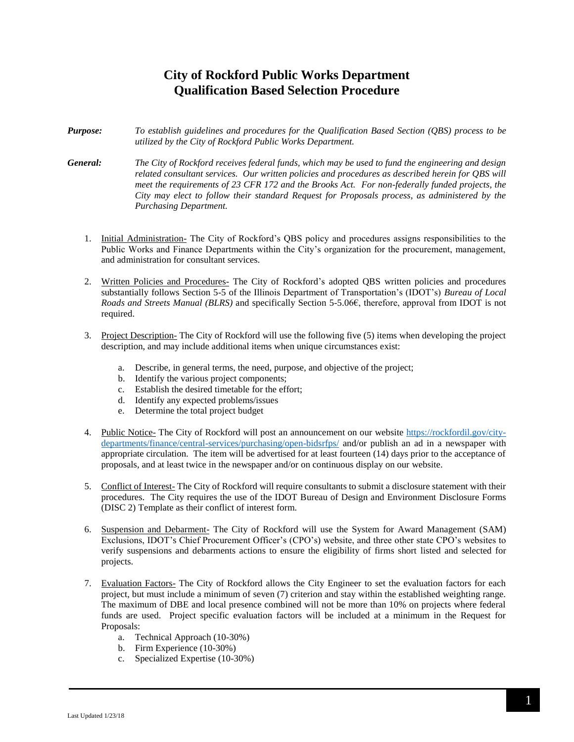## **City of Rockford Public Works Department Qualification Based Selection Procedure**

- *Purpose: To establish guidelines and procedures for the Qualification Based Section (QBS) process to be utilized by the City of Rockford Public Works Department.*
- *General: The City of Rockford receives federal funds, which may be used to fund the engineering and design related consultant services. Our written policies and procedures as described herein for QBS will meet the requirements of 23 CFR 172 and the Brooks Act. For non-federally funded projects, the City may elect to follow their standard Request for Proposals process, as administered by the Purchasing Department.*
	- 1. Initial Administration- The City of Rockford's QBS policy and procedures assigns responsibilities to the Public Works and Finance Departments within the City's organization for the procurement, management, and administration for consultant services.
	- 2. Written Policies and Procedures- The City of Rockford's adopted QBS written policies and procedures substantially follows Section 5-5 of the Illinois Department of Transportation's (IDOT's) *Bureau of Local Roads and Streets Manual (BLRS)* and specifically Section 5-5.06€, therefore, approval from IDOT is not required.
	- 3. Project Description- The City of Rockford will use the following five (5) items when developing the project description, and may include additional items when unique circumstances exist:
		- a. Describe, in general terms, the need, purpose, and objective of the project;
		- b. Identify the various project components;
		- c. Establish the desired timetable for the effort;
		- d. Identify any expected problems/issues
		- e. Determine the total project budget
	- 4. Public Notice- The City of Rockford will post an announcement on our website [https://rockfordil.gov/city](https://rockfordil.gov/city-departments/finance/central-services/purchasing/open-bidsrfps/)[departments/finance/central-services/purchasing/open-bidsrfps/](https://rockfordil.gov/city-departments/finance/central-services/purchasing/open-bidsrfps/) and/or publish an ad in a newspaper with appropriate circulation. The item will be advertised for at least fourteen (14) days prior to the acceptance of proposals, and at least twice in the newspaper and/or on continuous display on our website.
	- 5. Conflict of Interest- The City of Rockford will require consultants to submit a disclosure statement with their procedures. The City requires the use of the IDOT Bureau of Design and Environment Disclosure Forms (DISC 2) Template as their conflict of interest form.
	- 6. Suspension and Debarment- The City of Rockford will use the System for Award Management (SAM) Exclusions, IDOT's Chief Procurement Officer's (CPO's) website, and three other state CPO's websites to verify suspensions and debarments actions to ensure the eligibility of firms short listed and selected for projects.
	- 7. Evaluation Factors- The City of Rockford allows the City Engineer to set the evaluation factors for each project, but must include a minimum of seven (7) criterion and stay within the established weighting range. The maximum of DBE and local presence combined will not be more than 10% on projects where federal funds are used. Project specific evaluation factors will be included at a minimum in the Request for Proposals:
		- a. Technical Approach (10-30%)
		- b. Firm Experience (10-30%)
		- c. Specialized Expertise (10-30%)